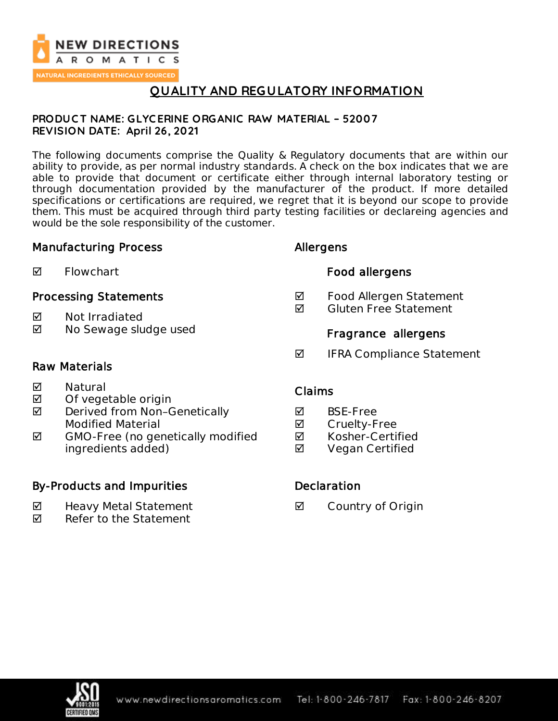

# **QUALITY AND REGULATORY INFORMATION**

### **PRODUC T NAME: GLYC ERINE ORGANIC RAW MATERIAL – 52007 REVISION DATE: April 26, 2021**

The following documents comprise the Quality & Regulatory documents that are within our ability to provide, as per normal industry standards. A check on the box indicates that we are able to provide that document or certificate either through internal laboratory testing or through documentation provided by the manufacturer of the product. If more detailed specifications or certifications are required, we regret that it is beyond our scope to provide them. This must be acquired through third party testing facilities or declareing agencies and would be the sole responsibility of the customer.

### Manufacturing Process

| ☑<br>Flowchart |  |
|----------------|--|
|----------------|--|

## Processing Statements

- **M** Not Irradiated
- **☑** No Sewage sludge used

## Allergens

## Food allergens

- **Ø** Food Allergen Statement
- **Ø** Gluten Free Statement

## Fragrance allergens

**Ø** IFRA Compliance Statement

## Raw Materials

- **Ø** Natural
- $\boxtimes$  Of vegetable origin
- $\boxtimes$  Derived from Non-Genetically Modified Material
- $\blacksquare$  GMO-Free (no genetically modified ingredients added)

## By-Products and Impurities

- Heavy Metal Statement
- $\nabla$  Refer to the Statement

## Claims

- **Ø** BSE-Free
- **☑** Cruelty-Free
- **Ø** Kosher-Certified
- **Ø** Vegan Certified

## **Declaration**

**Ø** Country of Origin

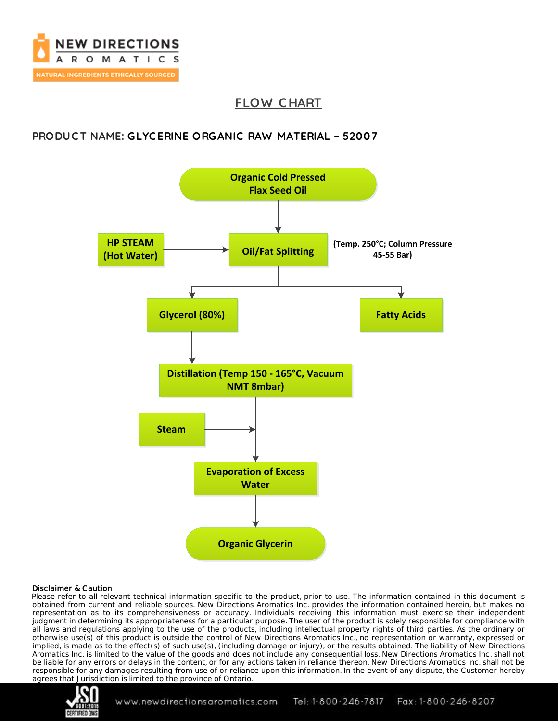

# **FLOW C HART**

## **PRODUC T NAME: GLYC ERINE ORGANIC RAW MATERIAL – 52007**



### Disclaimer & Caution

Please refer to all relevant technical information specific to the product, prior to use. The information contained in this document is obtained from current and reliable sources. New Directions Aromatics Inc. provides the information contained herein, but makes no representation as to its comprehensiveness or accuracy. Individuals receiving this information must exercise their independent judgment in determining its appropriateness for a particular purpose. The user of the product is solely responsible for compliance with all laws and regulations applying to the use of the products, including intellectual property rights of third parties. As the ordinary or otherwise use(s) of this product is outside the control of New Directions Aromatics Inc., no representation or warranty, expressed or implied, is made as to the effect(s) of such use(s), (including damage or injury), or the results obtained. The liability of New Directions Aromatics Inc. is limited to the value of the goods and does not include any consequential loss. New Directions Aromatics Inc. shall not be liable for any errors or delays in the content, or for any actions taken in reliance thereon. New Directions Aromatics Inc. shall not be responsible for any damages resulting from use of or reliance upon this information. In the event of any dispute, the Customer hereby agrees that Jurisdiction is limited to the province of Ontario.



Tel: 1-800-246-7817 Fax: 1-800-246-8207 www.newdirectionsaromatics.com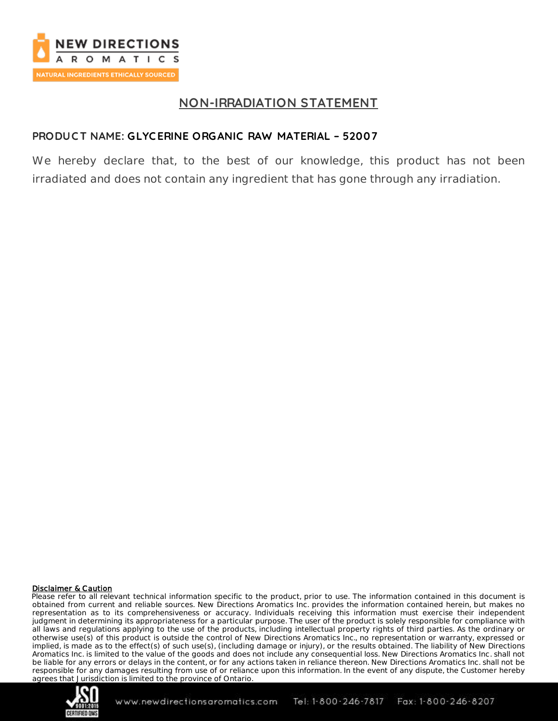

## **NON-IRRADIATION STATEMENT**

## **PRODUC T NAME: GLYC ERINE ORGANIC RAW MATERIAL – 52007**

We hereby declare that, to the best of our knowledge, this product has not been irradiated and does not contain any ingredient that has gone through any irradiation.

### Disclaimer & Caution

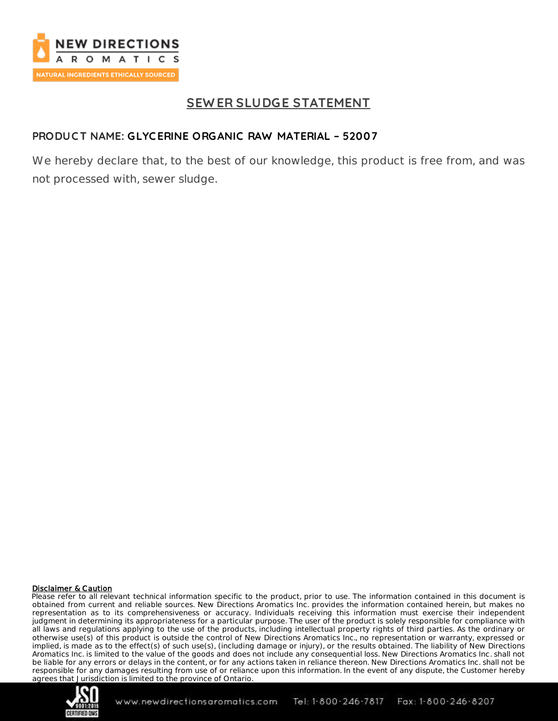

# **SEW ER SLUDGE STATEMENT**

## **PRODUC T NAME: GLYC ERINE ORGANIC RAW MATERIAL – 52007**

We hereby declare that, to the best of our knowledge, this product is free from, and was not processed with, sewer sludge.

#### Disclaimer & Caution

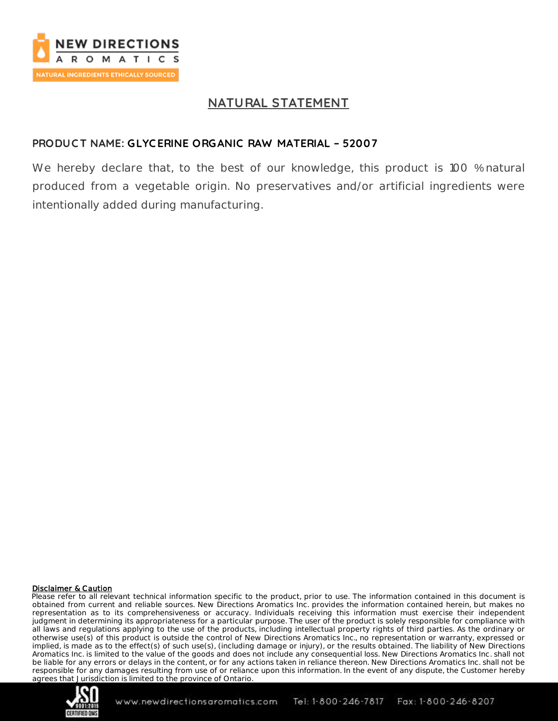

## **NATURAL STATEMENT**

## **PRODUC T NAME: GLYC ERINE ORGANIC RAW MATERIAL – 52007**

We hereby declare that, to the best of our knowledge, this product is 100 % natural produced from a vegetable origin. No preservatives and/or artificial ingredients were intentionally added during manufacturing.

### Disclaimer & Caution

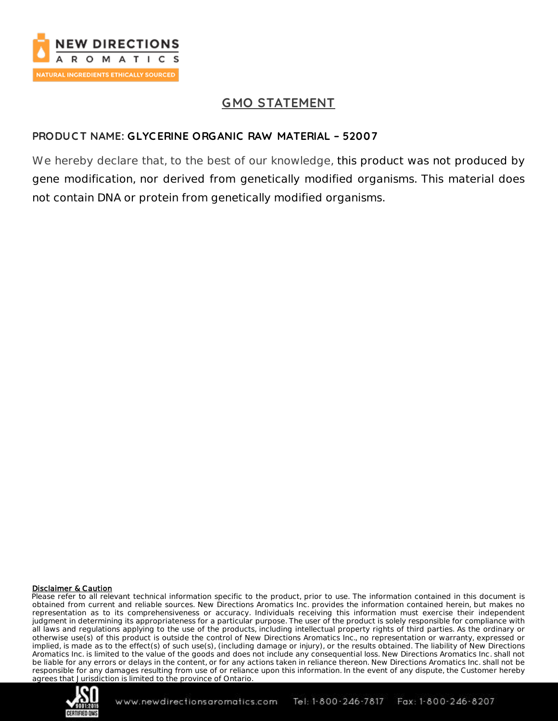

# **GMO STATEMENT**

## **PRODUC T NAME: GLYC ERINE ORGANIC RAW MATERIAL – 52007**

We hereby declare that, to the best of our knowledge, this product was not produced by gene modification, nor derived from genetically modified organisms. This material does not contain DNA or protein from genetically modified organisms.

### Disclaimer & Caution

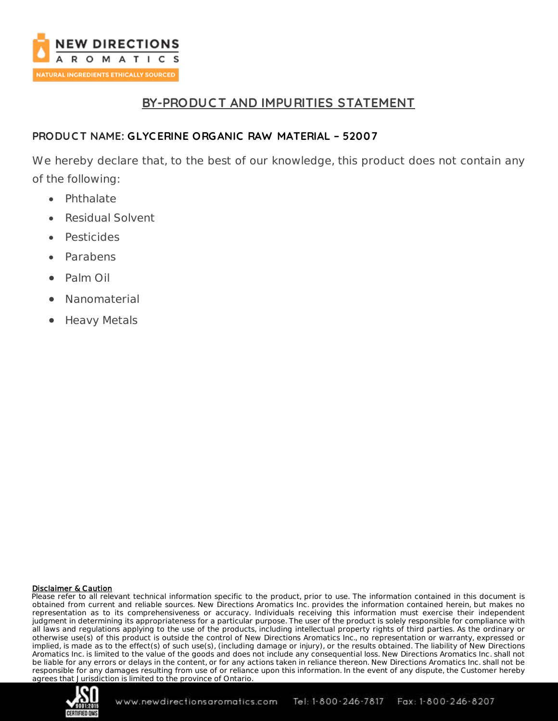

# **BY-PRODUC T AND IMPURITIES STATEMENT**

## **PRODUC T NAME: GLYC ERINE ORGANIC RAW MATERIAL – 52007**

We hereby declare that, to the best of our knowledge, this product does not contain any of the following:

- Phthalate
- Residual Solvent
- Pesticides
- Parabens
- Palm Oil
- Nanomaterial
- Heavy Metals

### Disclaimer & Caution

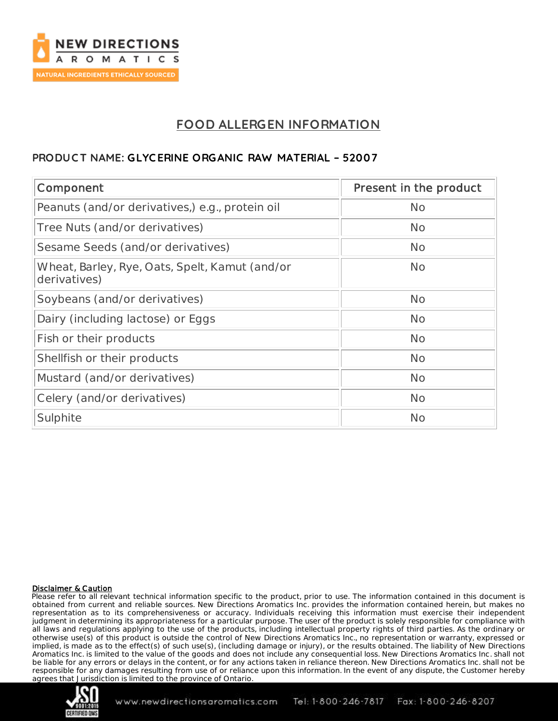

# **FOOD ALLERGEN INFORMATION**

## **PRODUC T NAME: GLYC ERINE ORGANIC RAW MATERIAL – 52007**

| Component                                                      | Present in the product |
|----------------------------------------------------------------|------------------------|
| Peanuts (and/or derivatives,) e.g., protein oil                | <b>No</b>              |
| Tree Nuts (and/or derivatives)                                 | <b>No</b>              |
| Sesame Seeds (and/or derivatives)                              | <b>No</b>              |
| Wheat, Barley, Rye, Oats, Spelt, Kamut (and/or<br>derivatives) | <b>No</b>              |
| Soybeans (and/or derivatives)                                  | <b>No</b>              |
| Dairy (including lactose) or Eggs                              | <b>No</b>              |
| Fish or their products                                         | <b>No</b>              |
| Shellfish or their products                                    | <b>No</b>              |
| Mustard (and/or derivatives)                                   | <b>No</b>              |
| Celery (and/or derivatives)                                    | <b>No</b>              |
| Sulphite                                                       | <b>No</b>              |

### Disclaimer & Caution

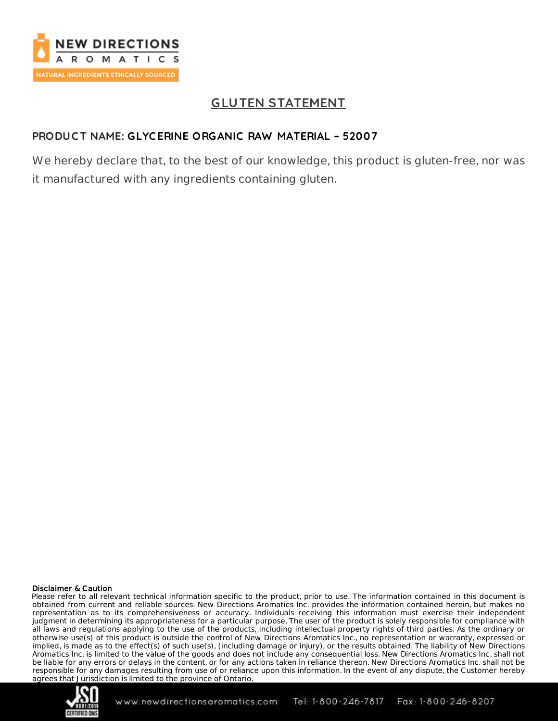

# **GLUTEN STATEMENT**

## **PRODUC T NAME: GLYC ERINE ORGANIC RAW MATERIAL – 52007**

We hereby declare that, to the best of our knowledge, this product is gluten-free, nor was it manufactured with any ingredients containing gluten.

### Disclaimer & Caution

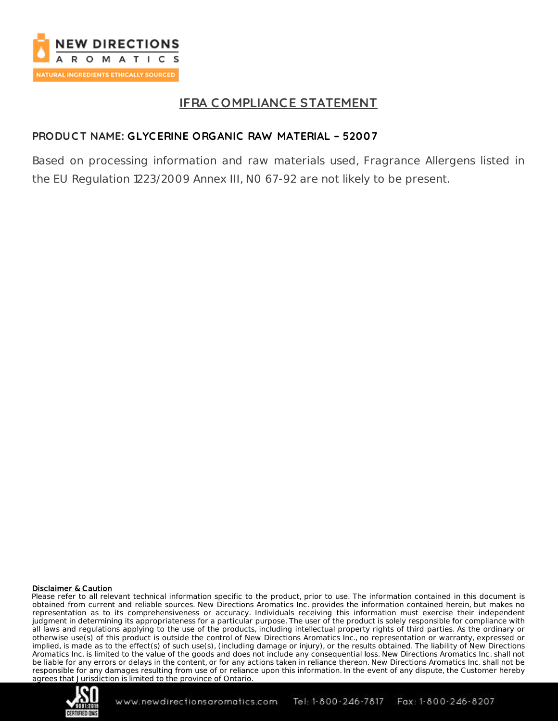

# **IFRA C OMPLIANCE STATEMENT**

## **PRODUC T NAME: GLYC ERINE ORGANIC RAW MATERIAL – 52007**

Based on processing information and raw materials used, Fragrance Allergens listed in the EU Regulation 1223/2009 Annex III, N0 67-92 are not likely to be present.

### Disclaimer & Caution

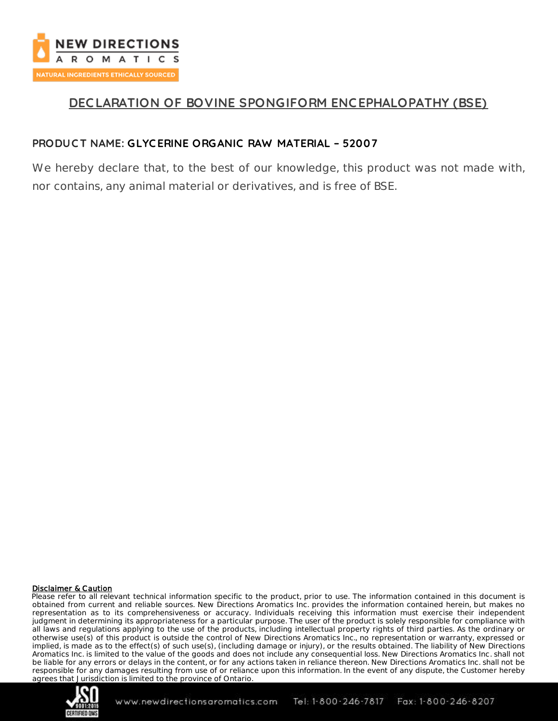

# **DEC LARATION OF BOVINE SPONGIFORM ENC EPHALOPATHY (BSE)**

### **PRODUC T NAME: GLYC ERINE ORGANIC RAW MATERIAL – 52007**

We hereby declare that, to the best of our knowledge, this product was not made with, nor contains, any animal material or derivatives, and is free of BSE.

### Disclaimer & Caution

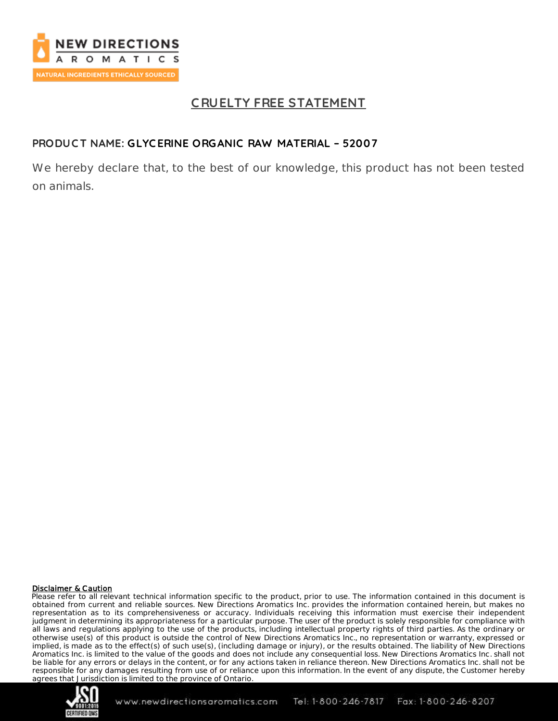

# **C RUELTY FREE STATEMENT**

## **PRODUC T NAME: GLYC ERINE ORGANIC RAW MATERIAL – 52007**

We hereby declare that, to the best of our knowledge, this product has not been tested on animals.

### Disclaimer & Caution

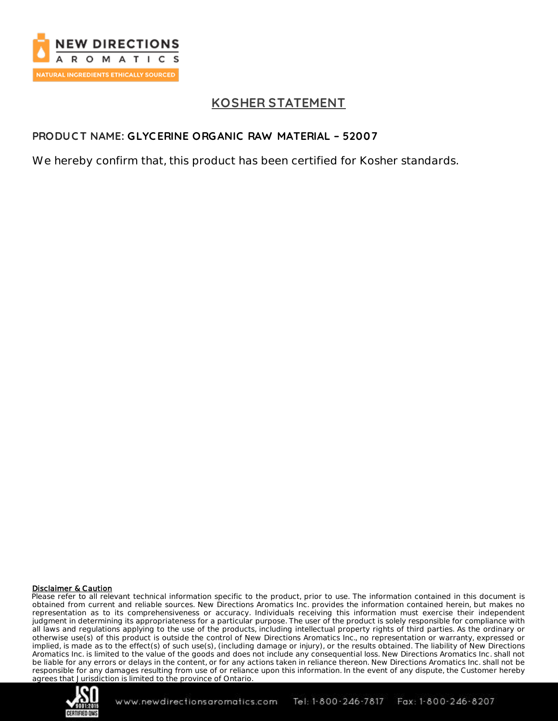

# **KOSHER STATEMENT**

## **PRODUC T NAME: GLYC ERINE ORGANIC RAW MATERIAL – 52007**

We hereby confirm that, this product has been certified for Kosher standards.

### Disclaimer & Caution

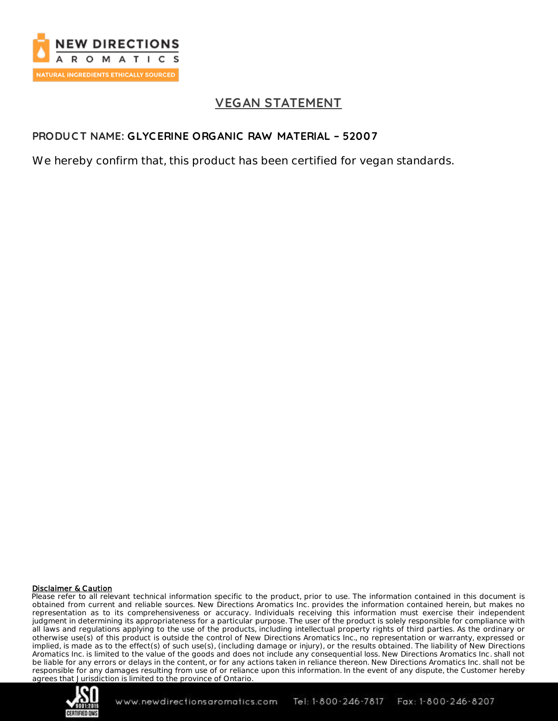

# **VEGAN STATEMENT**

## **PRODUC T NAME: GLYC ERINE ORGANIC RAW MATERIAL – 52007**

We hereby confirm that, this product has been certified for vegan standards.

### Disclaimer & Caution